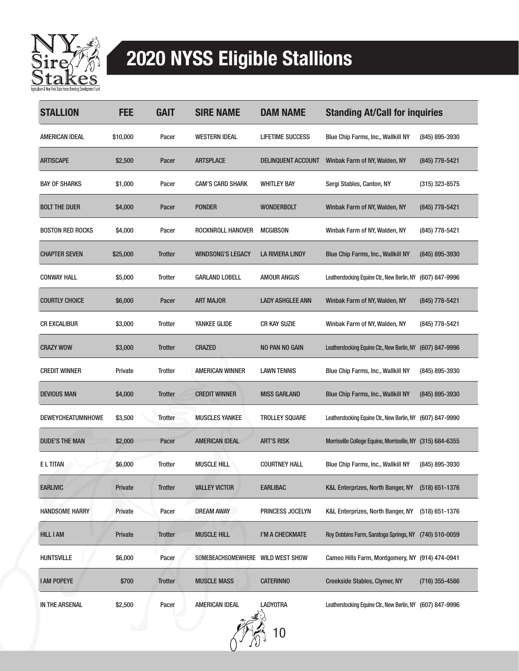

## 2020 NYSS Eligible Stallions

| <b>STALLION</b>          | FEE      | <b>GAIT</b>    | <b>SIRE NAME</b>                  | <b>DAM NAME</b>            | <b>Standing At/Call for inquiries</b>                      |                    |
|--------------------------|----------|----------------|-----------------------------------|----------------------------|------------------------------------------------------------|--------------------|
| AMERICAN IDEAL           | \$10,000 | Pacer          | <b>WESTERN IDEAL</b>              | <b>LIFETIME SUCCESS</b>    | <b>Blue Chip Farms, Inc., Wallkill NY</b>                  | (845) 895-3930     |
| <b>ARTISCAPE</b>         | \$2,500  | Pacer          | <b>ARTSPLACE</b>                  | <b>DELINQUENT ACCOUNT</b>  | Winbak Farm of NY, Walden, NY                              | (845) 778-5421     |
| <b>BAY OF SHARKS</b>     | \$1,000  | Pacer          | <b>CAM'S CARD SHARK</b>           | <b>WHITLEY BAY</b>         | Sergi Stables, Canton, NY                                  | $(315)$ 323-8575   |
| <b>BOLT THE DUER</b>     | \$4,000  | Pacer          | <b>PONDER</b>                     | <b>WONDERBOLT</b>          | Winbak Farm of NY, Walden, NY                              | (845) 778-5421     |
| <b>BOSTON RED ROCKS</b>  | \$4,000  | Pacer          | ROCKNROLL HANOVER                 | <b>MCGIBSON</b>            | Winbak Farm of NY, Walden, NY                              | (845) 778-5421     |
| <b>CHAPTER SEVEN</b>     | \$25,000 | <b>Trotter</b> | <b>WINDSONG'S LEGACY</b>          | LA RIVIERA LINDY           | Blue Chip Farms, Inc., Wallkill NY                         | (845) 895-3930     |
| <b>CONWAY HALL</b>       | \$5,000  | <b>Trotter</b> | <b>GARLAND LOBELL</b>             | <b>AMOUR ANGUS</b>         | Leatherstocking Equine Ctr., New Berlin, NY                | (607) 847-9996     |
| <b>COURTLY CHOICE</b>    | \$6,000  | Pacer          | <b>ART MAJOR</b>                  | <b>LADY ASHGLEE ANN</b>    | Winbak Farm of NY, Walden, NY                              | (845) 778-5421     |
| <b>CR EXCALIBUR</b>      | \$3,000  | <b>Trotter</b> | YANKEE GLIDE                      | <b>CR KAY SUZIE</b>        | Winbak Farm of NY, Walden, NY                              | (845) 778-5421     |
| <b>CRAZY WOW</b>         | \$3,000  | <b>Trotter</b> | <b>CRAZED</b>                     | NO PAN NO GAIN             | Leatherstocking Equine Ctr., New Berlin, NY                | (607) 847-9996     |
| <b>CREDIT WINNER</b>     | Private  | <b>Trotter</b> | <b>AMERICAN WINNER</b>            | <b>LAWN TENNIS</b>         | <b>Blue Chip Farms, Inc., Wallkill NY</b>                  | (845) 895-3930     |
| <b>DEVIOUS MAN</b>       | \$4,000  | <b>Trotter</b> | <b>CREDIT WINNER</b>              | MISS GARLAND               | Blue Chip Farms, Inc., Wallkill NY                         | (845) 895-3930     |
| <b>DEWEYCHEATUMNHOWE</b> | \$3,500  | <b>Trotter</b> | <b>MUSCLES YANKEE</b>             | <b>TROLLEY SQUARE</b>      | Leatherstocking Equine Ctr., New Berlin, NY (607) 847-9990 |                    |
| <b>DUDE'S THE MAN</b>    | \$2,000  | Pacer          | <b>AMERICAN IDEAL</b>             | <b>ART'S RISK</b>          | Morrisville College Equine, Morrisville, NY                | $(315) 684 - 6355$ |
| <b>ELTITAN</b>           | \$6,000  | <b>Trotter</b> | <b>MUSCLE HILL</b>                | <b>COURTNEY HALL</b>       | <b>Blue Chip Farms, Inc., Wallkill NY</b>                  | (845) 895-3930     |
| <b>EARLIVIC</b>          | Private  | <b>Trotter</b> | <b>VALLEY VICTOR</b>              | EARLIBAC                   | K&L Enterprizes, North Banger, NY                          | $(518) 651 - 1376$ |
| <b>HANDSOME HARRY</b>    | Private  | Pacer          | <b>DREAM AWAY</b>                 | PRINCESS JOCELYN           | K&L Enterprizes, North Banger, NY                          | $(518)$ 651-1376   |
| <b>HILL I AM</b>         | Private  | <b>Trotter</b> | <b>MUSCLE HILL</b>                | I'M A CHECKMATE            | Roy Dobbins Farm, Saratoga Springs, NY (740) 510-0059      |                    |
| <b>HUNTSVILLE</b>        | \$6,000  | Pacer          | SOMEBEACHSOMEWHERE WILD WEST SHOW |                            | Cameo Hills Farm, Montgomery, NY (914) 474-0941            |                    |
| <b>I AM POPEYE</b>       | \$700    | <b>Trotter</b> | <b>MUSCLE MASS</b>                | <b>CATERINNO</b>           | Creekside Stables, Clymer, NY                              | $(716)$ 355-4586   |
| IN THE ARSENAL           | \$2,500  | Pacer          | AMERICAN IDEAL                    | <b>LADYOTRA</b><br>بالسيمي | Leatherstocking Equine Ctr., New Berlin, NY (607) 847-9996 |                    |

10